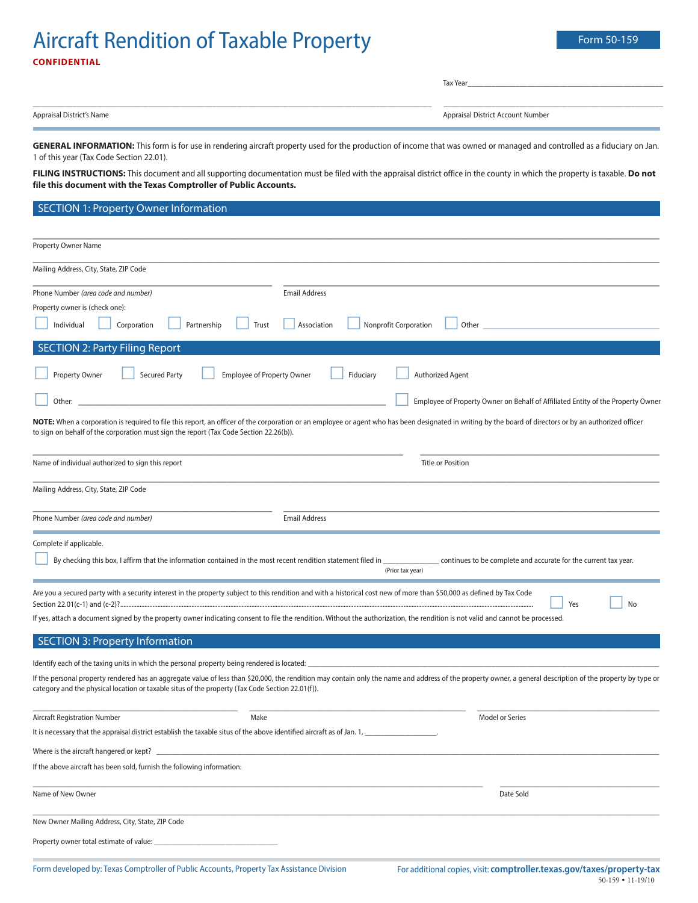# Aircraft Rendition of Taxable Property Form 50-159 **CONFIDENTIAL**

Tax Year\_\_\_\_\_\_\_\_\_\_\_\_\_\_\_\_\_\_\_\_\_\_\_\_\_\_\_\_\_\_\_\_\_\_\_\_\_\_\_\_\_\_\_\_\_\_\_\_\_

\_\_\_\_\_\_\_\_\_\_\_\_\_\_\_\_\_\_\_\_\_\_\_\_\_\_\_\_\_\_\_\_\_\_\_\_\_\_\_\_\_\_\_\_\_\_\_\_\_\_\_\_\_\_\_\_\_\_\_\_\_\_\_\_\_\_\_\_\_\_\_\_\_\_\_\_\_\_\_\_\_\_\_\_\_\_\_\_\_\_\_\_\_\_\_\_\_\_\_\_ \_\_\_\_\_\_\_\_\_\_\_\_\_\_\_\_\_\_\_\_\_\_\_\_\_\_\_\_\_\_\_\_\_\_\_\_\_\_\_\_\_\_\_\_\_\_\_\_\_\_\_\_\_\_\_

Appraisal District's Name Appraisal District Account Number

GENERAL INFORMATION: This form is for use in rendering aircraft property used for the production of income that was owned or managed and controlled as a fiduciary on Jan. 1 of this year (Tax Code Section 22.01).

**FILING INSTRUCTIONS:** This document and all supporting documentation must be filed with the appraisal district office in the county in which the property is taxable. **Do not file this document with the Texas Comptroller of Public Accounts.**

### SECTION 1: Property Owner Information

| <b>Property Owner Name</b>                                                                                             |                                                                                                                                                                                                             |
|------------------------------------------------------------------------------------------------------------------------|-------------------------------------------------------------------------------------------------------------------------------------------------------------------------------------------------------------|
| Mailing Address, City, State, ZIP Code                                                                                 |                                                                                                                                                                                                             |
| Phone Number (area code and number)                                                                                    | <b>Email Address</b>                                                                                                                                                                                        |
| Property owner is (check one):                                                                                         |                                                                                                                                                                                                             |
| Individual<br>Corporation<br>Partnership<br>Trust                                                                      | Association<br><b>Nonprofit Corporation</b><br>Other                                                                                                                                                        |
| <b>SECTION 2: Party Filing Report</b>                                                                                  |                                                                                                                                                                                                             |
| <b>Employee of Property Owner</b><br>Property Owner<br><b>Secured Party</b>                                            | Fiduciary<br>Authorized Agent                                                                                                                                                                               |
| Other:                                                                                                                 | Employee of Property Owner on Behalf of Affiliated Entity of the Property Owner                                                                                                                             |
| to sign on behalf of the corporation must sign the report (Tax Code Section 22.26(b)).                                 | NOTE: When a corporation is required to file this report, an officer of the corporation or an employee or agent who has been designated in writing by the board of directors or by an authorized officer    |
| Name of individual authorized to sign this report                                                                      | <b>Title or Position</b>                                                                                                                                                                                    |
| Mailing Address, City, State, ZIP Code                                                                                 |                                                                                                                                                                                                             |
| Phone Number (area code and number)                                                                                    | <b>Email Address</b>                                                                                                                                                                                        |
| Complete if applicable.                                                                                                |                                                                                                                                                                                                             |
| By checking this box, I affirm that the information contained in the most recent rendition statement filed in _        | continues to be complete and accurate for the current tax year.<br>(Prior tax year)                                                                                                                         |
|                                                                                                                        | Are you a secured party with a security interest in the property subject to this rendition and with a historical cost new of more than \$50,000 as defined by Tax Code<br>No<br>Yes                         |
|                                                                                                                        | If yes, attach a document signed by the property owner indicating consent to file the rendition. Without the authorization, the rendition is not valid and cannot be processed.                             |
| <b>SECTION 3: Property Information</b>                                                                                 |                                                                                                                                                                                                             |
|                                                                                                                        |                                                                                                                                                                                                             |
| category and the physical location or taxable situs of the property (Tax Code Section 22.01(f)).                       | If the personal property rendered has an aggregate value of less than \$20,000, the rendition may contain only the name and address of the property owner, a general description of the property by type or |
| <b>Aircraft Registration Number</b><br>Make                                                                            | Model or Series                                                                                                                                                                                             |
| It is necessary that the appraisal district establish the taxable situs of the above identified aircraft as of Jan. 1, |                                                                                                                                                                                                             |
|                                                                                                                        |                                                                                                                                                                                                             |
| If the above aircraft has been sold, furnish the following information:                                                |                                                                                                                                                                                                             |
| Name of New Owner                                                                                                      | Date Sold                                                                                                                                                                                                   |
| New Owner Mailing Address, City, State, ZIP Code                                                                       |                                                                                                                                                                                                             |
| Property owner total estimate of value:                                                                                |                                                                                                                                                                                                             |